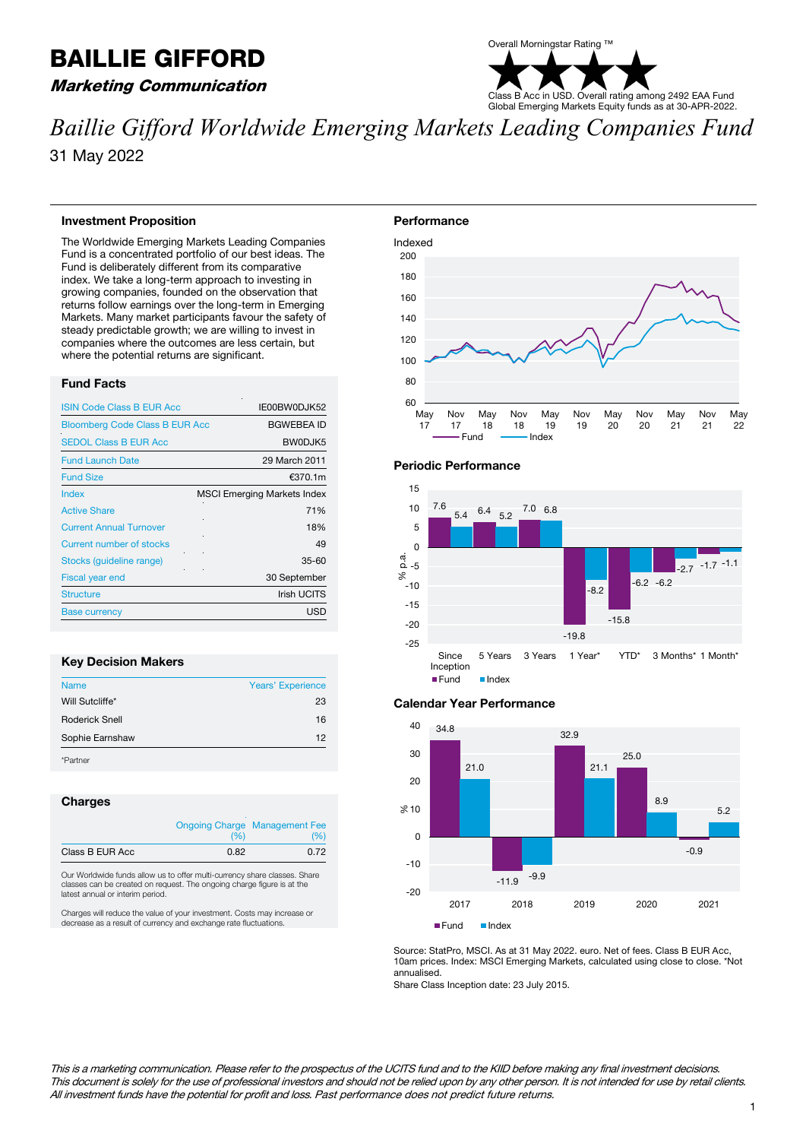# BAILLIE GIFFORD

### Marketing Communication



## *Baillie Gifford Worldwide Emerging Markets Leading Companies Fund* 31 May 2022

#### **Investment Proposition**

The Worldwide Emerging Markets Leading Companies Fund is a concentrated portfolio of our best ideas. The Fund is deliberately different from its comparative index. We take a long-term approach to investing in growing companies, founded on the observation that returns follow earnings over the long-term in Emerging Markets. Many market participants favour the safety of steady predictable growth; we are willing to invest in companies where the outcomes are less certain, but where the potential returns are significant.

#### **Fund Facts**

| <b>ISIN Code Class B EUR Acc</b>      | IE00BW0DJK52                       |
|---------------------------------------|------------------------------------|
| <b>Bloomberg Code Class B EUR Acc</b> | <b>BGWEBEA ID</b>                  |
| <b>SEDOL Class B EUR Acc</b>          | BW0DJK5                            |
| <b>Fund Launch Date</b>               | 29 March 2011                      |
| <b>Fund Size</b>                      | €370.1m                            |
| Index                                 | <b>MSCI Emerging Markets Index</b> |
| <b>Active Share</b>                   | 71%                                |
| <b>Current Annual Turnover</b>        | 18%                                |
| Current number of stocks              | 49                                 |
| Stocks (quideline range)              | 35-60                              |
| <b>Fiscal year end</b>                | 30 September                       |
| <b>Structure</b>                      | <b>Irish UCITS</b>                 |
| <b>Base currency</b>                  | USD                                |

#### **Key Decision Makers**

| <b>Name</b>           | <b>Years' Experience</b> |
|-----------------------|--------------------------|
| Will Sutcliffe*       | 23                       |
| <b>Roderick Snell</b> | 16                       |
| Sophie Earnshaw       | 12                       |
| *Partner              |                          |

#### **Charges**

|                 | (%)  | <b>Ongoing Charge Management Fee</b><br>(%) |
|-----------------|------|---------------------------------------------|
| Class B EUR Acc | 0.82 | 0.72                                        |

Our Worldwide funds allow us to offer multi-currency share classes. Share classes can be created on request. The ongoing charge figure is at the latest annual or interim period.

Charges will reduce the value of your investment. Costs may increase or decrease as a result of currency and exchange rate fluctuations.





#### **Calendar Year Performance**



Source: StatPro, MSCI. As at 31 May 2022. euro. Net of fees. Class B EUR Acc, 10am prices. Index: MSCI Emerging Markets, calculated using close to close. \*Not annualised.

Share Class Inception date: 23 July 2015.

This is a marketing communication. Please refer to the prospectus of the UCITS fund and to the KIID before making any final investment decisions. This document is solely for the use of professional investors and should not be relied upon by any other person. It is not intended for use by retail clients. All investment funds have the potential for profit and loss. Past performance does not predict future returns.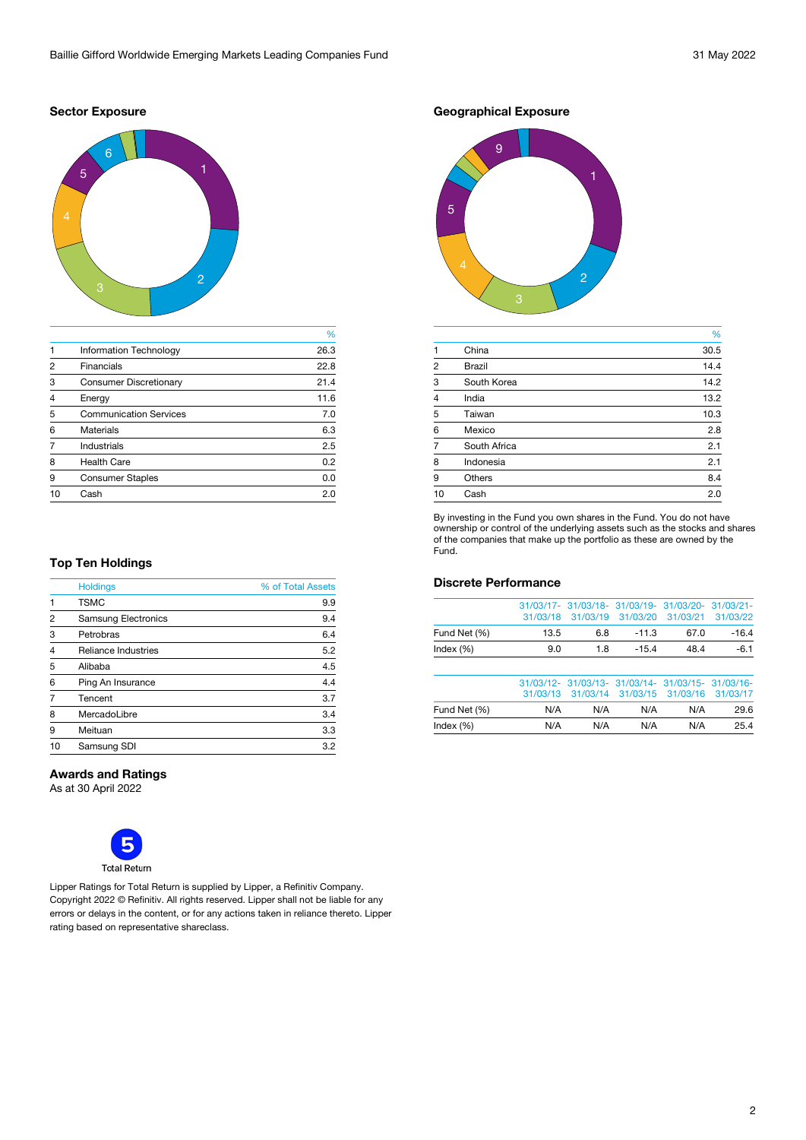#### **Sector Exposure**



|    |                               | %    |
|----|-------------------------------|------|
| 1  | <b>Information Technology</b> | 26.3 |
| 2  | <b>Financials</b>             | 22.8 |
| 3  | <b>Consumer Discretionary</b> | 21.4 |
| 4  | Energy                        | 11.6 |
| 5  | <b>Communication Services</b> | 7.0  |
| 6  | <b>Materials</b>              | 6.3  |
|    | Industrials                   | 2.5  |
| 8  | <b>Health Care</b>            | 0.2  |
| 9  | <b>Consumer Staples</b>       | 0.0  |
| 10 | Cash                          | 2.0  |
|    |                               |      |

#### **Top Ten Holdings**

|                | <b>Holdings</b>            | % of Total Assets |
|----------------|----------------------------|-------------------|
|                | <b>TSMC</b>                | 9.9               |
| $\overline{2}$ | <b>Samsung Electronics</b> | 9.4               |
| 3              | Petrobras                  | 6.4               |
| $\overline{4}$ | <b>Reliance Industries</b> | 5.2               |
| 5              | Alibaba                    | 4.5               |
| 6              | Ping An Insurance          | 4.4               |
|                | Tencent                    | 3.7               |
| 8              | MercadoLibre               | 3.4               |
| 9              | Meituan                    | 3.3               |
| 10             | Samsung SDI                | 3.2               |

#### **Awards and Ratings**

As at 30 April 2022



Lipper Ratings for Total Return is supplied by Lipper, a Refinitiv Company. Copyright 2022 © Refinitiv. All rights reserved. Lipper shall not be liable for any errors or delays in the content, or for any actions taken in reliance thereto. Lipper rating based on representative shareclass.

**Geographical Exposure**



|                |               | %    |
|----------------|---------------|------|
| $\mathbf 1$    | China         | 30.5 |
| $\overline{2}$ | <b>Brazil</b> | 14.4 |
| 3              | South Korea   | 14.2 |
| $\overline{4}$ | India         | 13.2 |
| 5              | <b>Taiwan</b> | 10.3 |
| 6              | Mexico        | 2.8  |
| $\overline{7}$ | South Africa  | 2.1  |
| 8              | Indonesia     | 2.1  |
| 9              | <b>Others</b> | 8.4  |
| 10             | Cash          | 2.0  |

By investing in the Fund you own shares in the Fund. You do not have ownership or control of the underlying assets such as the stocks and shares of the companies that make up the portfolio as these are owned by the Fund.

#### **Discrete Performance**

|              |      | 31/03/17- 31/03/18- 31/03/19- 31/03/20- 31/03/21- |         |      |         |
|--------------|------|---------------------------------------------------|---------|------|---------|
|              |      | 31/03/18 31/03/19 31/03/20 31/03/21 31/03/22      |         |      |         |
| Fund Net (%) | 13.5 | 6.8                                               | $-11.3$ | 67.0 | $-16.4$ |
| Index $(\%)$ | 90   | 1.8                                               | $-154$  | 48.4 | $-6.1$  |
|              |      |                                                   |         |      |         |

|              |     | 31/03/12- 31/03/13- 31/03/14- 31/03/15- 31/03/16-<br>31/03/13 31/03/14 31/03/15 31/03/16 31/03/17 |     |     |      |
|--------------|-----|---------------------------------------------------------------------------------------------------|-----|-----|------|
| Fund Net (%) | N/A | N/A                                                                                               | N/A | N/A | 29.6 |
| Index $(\%)$ | N/A | N/A                                                                                               | N/A | N/A | 25.4 |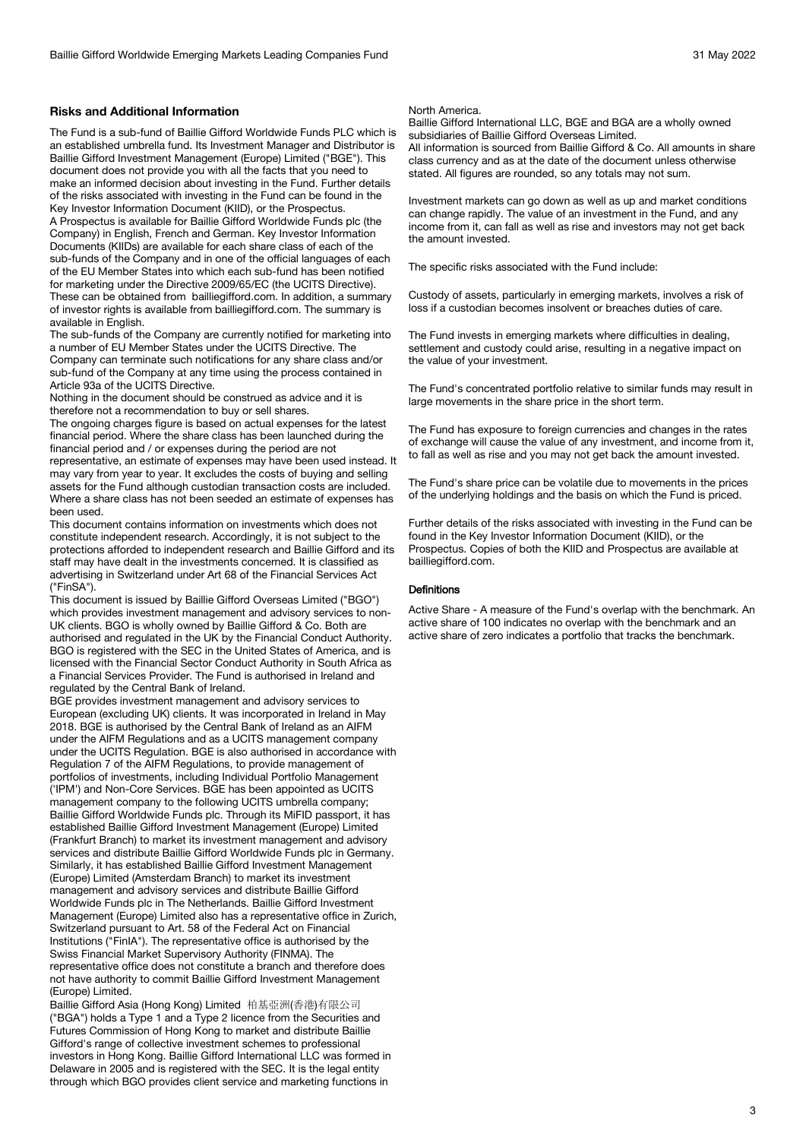The Fund is a sub-fund of Baillie Gifford Worldwide Funds PLC which is an established umbrella fund. Its Investment Manager and Distributor is Baillie Gifford Investment Management (Europe) Limited ("BGE"). This document does not provide you with all the facts that you need to make an informed decision about investing in the Fund. Further details of the risks associated with investing in the Fund can be found in the Key Investor Information Document (KIID), or the Prospectus.

A Prospectus is available for Baillie Gifford Worldwide Funds plc (the Company) in English, French and German. Key Investor Information Documents (KIIDs) are available for each share class of each of the sub-funds of the Company and in one of the official languages of each of the EU Member States into which each sub-fund has been notified for marketing under the Directive 2009/65/EC (the UCITS Directive). These can be obtained from bailliegifford.com. In addition, a summary of investor rights is available from bailliegifford.com. The summary is available in English.

The sub-funds of the Company are currently notified for marketing into a number of EU Member States under the UCITS Directive. The Company can terminate such notifications for any share class and/or sub-fund of the Company at any time using the process contained in Article 93a of the UCITS Directive.

Nothing in the document should be construed as advice and it is therefore not a recommendation to buy or sell shares.

The ongoing charges figure is based on actual expenses for the latest financial period. Where the share class has been launched during the financial period and / or expenses during the period are not representative, an estimate of expenses may have been used instead. It may vary from year to year. It excludes the costs of buying and selling

assets for the Fund although custodian transaction costs are included. Where a share class has not been seeded an estimate of expenses has been used.

This document contains information on investments which does not constitute independent research. Accordingly, it is not subject to the protections afforded to independent research and Baillie Gifford and its staff may have dealt in the investments concerned. It is classified as advertising in Switzerland under Art 68 of the Financial Services Act ("FinSA").

This document is issued by Baillie Gifford Overseas Limited ("BGO") which provides investment management and advisory services to non-UK clients. BGO is wholly owned by Baillie Gifford & Co. Both are authorised and regulated in the UK by the Financial Conduct Authority. BGO is registered with the SEC in the United States of America, and is licensed with the Financial Sector Conduct Authority in South Africa as a Financial Services Provider. The Fund is authorised in Ireland and regulated by the Central Bank of Ireland.

BGE provides investment management and advisory services to European (excluding UK) clients. It was incorporated in Ireland in May 2018. BGE is authorised by the Central Bank of Ireland as an AIFM under the AIFM Regulations and as a UCITS management company under the UCITS Regulation. BGE is also authorised in accordance with Regulation 7 of the AIFM Regulations, to provide management of portfolios of investments, including Individual Portfolio Management ('IPM') and Non-Core Services. BGE has been appointed as UCITS management company to the following UCITS umbrella company; Baillie Gifford Worldwide Funds plc. Through its MiFID passport, it has established Baillie Gifford Investment Management (Europe) Limited (Frankfurt Branch) to market its investment management and advisory services and distribute Baillie Gifford Worldwide Funds plc in Germany. Similarly, it has established Baillie Gifford Investment Management (Europe) Limited (Amsterdam Branch) to market its investment management and advisory services and distribute Baillie Gifford Worldwide Funds plc in The Netherlands. Baillie Gifford Investment Management (Europe) Limited also has a representative office in Zurich, Switzerland pursuant to Art. 58 of the Federal Act on Financial Institutions ("FinIA"). The representative office is authorised by the Swiss Financial Market Supervisory Authority (FINMA). The representative office does not constitute a branch and therefore does not have authority to commit Baillie Gifford Investment Management (Europe) Limited.

Baillie Gifford Asia (Hong Kong) Limited 柏基亞洲(香港)有限公司 ("BGA") holds a Type 1 and a Type 2 licence from the Securities and Futures Commission of Hong Kong to market and distribute Baillie Gifford's range of collective investment schemes to professional investors in Hong Kong. Baillie Gifford International LLC was formed in Delaware in 2005 and is registered with the SEC. It is the legal entity through which BGO provides client service and marketing functions in

#### North America.

Baillie Gifford International LLC, BGE and BGA are a wholly owned subsidiaries of Baillie Gifford Overseas Limited. All information is sourced from Baillie Gifford & Co. All amounts in share class currency and as at the date of the document unless otherwise

Investment markets can go down as well as up and market conditions can change rapidly. The value of an investment in the Fund, and any income from it, can fall as well as rise and investors may not get back the amount invested.

The specific risks associated with the Fund include:

stated. All figures are rounded, so any totals may not sum.

Custody of assets, particularly in emerging markets, involves a risk of loss if a custodian becomes insolvent or breaches duties of care.

The Fund invests in emerging markets where difficulties in dealing, settlement and custody could arise, resulting in a negative impact on the value of your investment.

The Fund's concentrated portfolio relative to similar funds may result in large movements in the share price in the short term.

The Fund has exposure to foreign currencies and changes in the rates of exchange will cause the value of any investment, and income from it, to fall as well as rise and you may not get back the amount invested.

The Fund's share price can be volatile due to movements in the prices of the underlying holdings and the basis on which the Fund is priced.

Further details of the risks associated with investing in the Fund can be found in the Key Investor Information Document (KIID), or the Prospectus. Copies of both the KIID and Prospectus are available at bailliegifford.com.

#### **Definitions**

Active Share - A measure of the Fund's overlap with the benchmark. An active share of 100 indicates no overlap with the benchmark and an active share of zero indicates a portfolio that tracks the benchmark.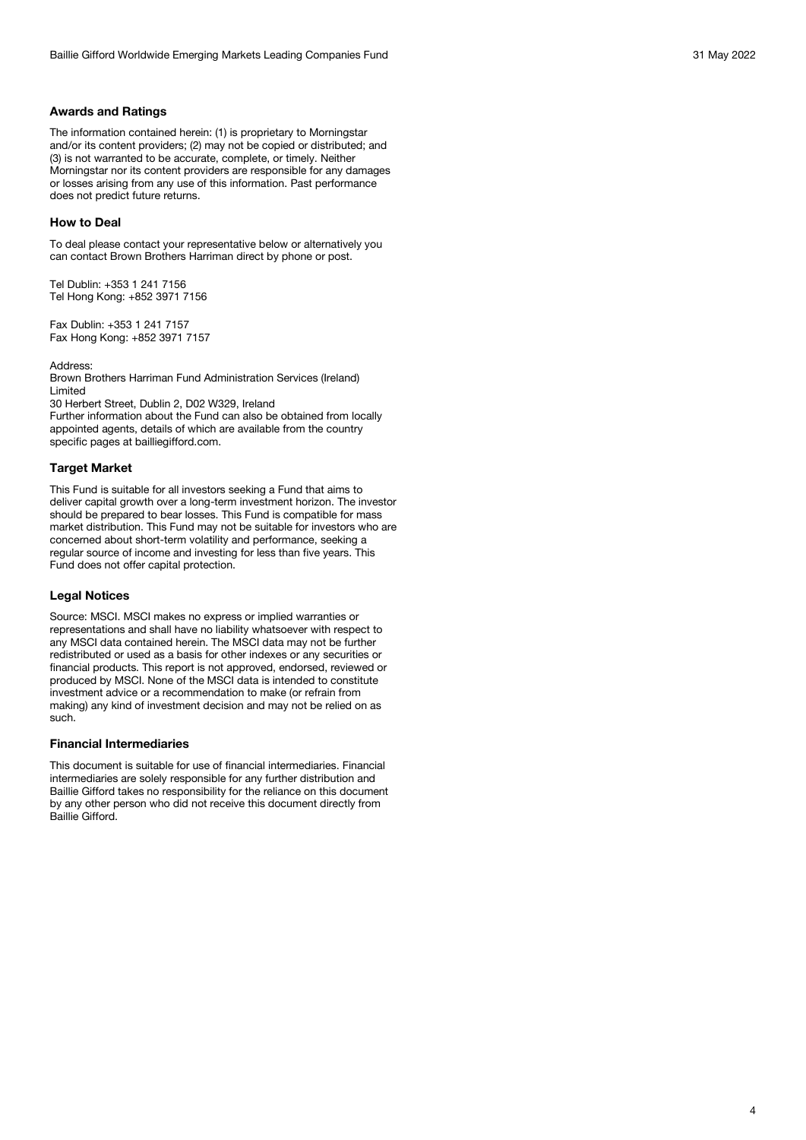#### **Awards and Ratings**

The information contained herein: (1) is proprietary to Morningstar and/or its content providers; (2) may not be copied or distributed; and (3) is not warranted to be accurate, complete, or timely. Neither Morningstar nor its content providers are responsible for any damages or losses arising from any use of this information. Past performance does not predict future returns.

#### **How to Deal**

To deal please contact your representative below or alternatively you can contact Brown Brothers Harriman direct by phone or post.

Tel Dublin: +353 1 241 7156 Tel Hong Kong: +852 3971 7156

Fax Dublin: +353 1 241 7157 Fax Hong Kong: +852 3971 7157

Address:

Brown Brothers Harriman Fund Administration Services (Ireland) Limited

30 Herbert Street, Dublin 2, D02 W329, Ireland

Further information about the Fund can also be obtained from locally appointed agents, details of which are available from the country specific pages at bailliegifford.com.

#### **Target Market**

This Fund is suitable for all investors seeking a Fund that aims to deliver capital growth over a long-term investment horizon. The investor should be prepared to bear losses. This Fund is compatible for mass market distribution. This Fund may not be suitable for investors who are concerned about short-term volatility and performance, seeking a regular source of income and investing for less than five years. This Fund does not offer capital protection.

#### **Legal Notices**

Source: MSCI. MSCI makes no express or implied warranties or representations and shall have no liability whatsoever with respect to any MSCI data contained herein. The MSCI data may not be further redistributed or used as a basis for other indexes or any securities or financial products. This report is not approved, endorsed, reviewed or produced by MSCI. None of the MSCI data is intended to constitute investment advice or a recommendation to make (or refrain from making) any kind of investment decision and may not be relied on as such.

#### **Financial Intermediaries**

This document is suitable for use of financial intermediaries. Financial intermediaries are solely responsible for any further distribution and Baillie Gifford takes no responsibility for the reliance on this document by any other person who did not receive this document directly from Baillie Gifford.